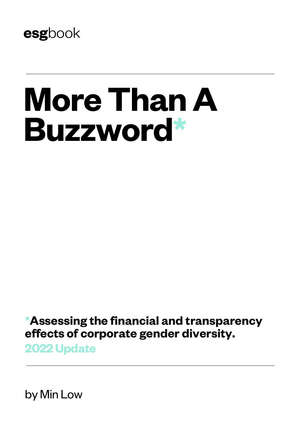

# **More Than A Buzzword\***

**\*Assessing the financial and transparency effects of corporate gender diversity.**

**2022 Update**

by Min Low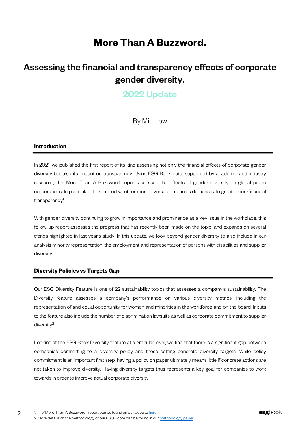## **More Than A Buzzword.**

## Assessing the financial and transparency effects of corporate gender diversity.

## 2022 Update

By Min Low

#### **Introduction**

In 2021, we published the first report of its kind assessing not only the financial effects of corporate gender diversity but also its impact on transparency. Using ESG Book data, supported by academic and industry research, the 'More Than A Buzzword' report assessed the effects of gender diversity on global public corporations. In particular, it examined whether more diverse companies demonstrate greater non-financial transparency<sup>1</sup>. .

With gender diversity continuing to grow in importance and prominence as a key issue in the workplace, this follow-up report assesses the progress that has recently been made on the topic, and expands on several trends highlighted in last year's study. In this update, we look beyond gender diversity to also include in our analysis minority representation, the employment and representation of persons with disabilities and supplier diversity.

#### **Diversity Policies vs Targets Gap**

Our ESG Diversity Feature is one of 22 sustainability topics that assesses a company's sustainability. The Diversity feature assesses a company's performance on various diversity metrics, including the representation of and equal opportunity for women and minorities in the workforce and on the board. Inputs to the feature also include the number of discrimination lawsuits as well as corporate commitment to supplier diversity2.

Looking at the ESG Book Diversity feature at a granular level, we find that there is a significant gap between companies committing to a diversity policy and those setting concrete diversity targets. While policy commitment is an important first step, having a policy on paper ultimately means little if concrete actions are not taken to improve diversity. Having diversity targets thus represents a key goal for companies to work towards in order to improve actual corporate diversity.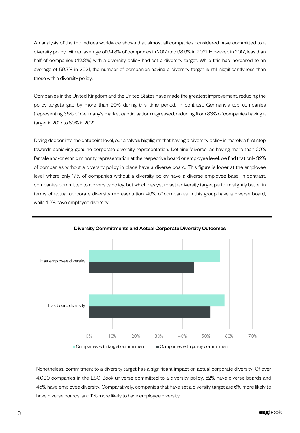An analysis of the top indices worldwide shows that almost all companies considered have committed to a diversity policy, with an average of 94.3% of companies in 2017 and 98.9% in 2021. However, in 2017, less than half of companies (42.3%) with a diversity policy had set a diversity target. While this has increased to an average of 59.7% in 2021, the number of companies having a diversity target is still significantly less than those with a diversity policy.

Companies in the United Kingdom and the United States have made the greatest improvement, reducing the policy-targets gap by more than 20% during this time period. In contrast, Germany's top companies (representing 36% of Germany's market captialisation) regressed, reducing from 83% of companies having a target in 2017 to 80% in 2021.

Diving deeper into the datapoint level, our analysis highlights that having a diversity policy is merely a first step towards achieving genuine corporate diversity representation. Defining 'diverse' as having more than 20% female and/or ethnic minority representation at the respective board or employee level, we find that only 32% of companies without a diversity policy in place have a diverse board. This figure is lower at the employee level, where only 17% of companies without a diversity policy have a diverse employee base. In contrast, companies committed to a diversity policy, but which has yet to set a diversity target perform slightly better in terms of actual corporate diversity representation. 49% of companies in this group have a diverse board, while 40% have employee diversity.



Diversity Commitments and Actual Corporate Diversity Outcomes

Nonetheless, commitment to a diversity target has a significant impact on actual corporate diversity. Of over 4,000 companies in the ESG Book universe committed to a diversity policy, 52% have diverse boards and 45% have employee diversity. Comparatively, companies that have set a diversity target are 6% more likely to have diverse boards, and 11% more likely to have employee diversity.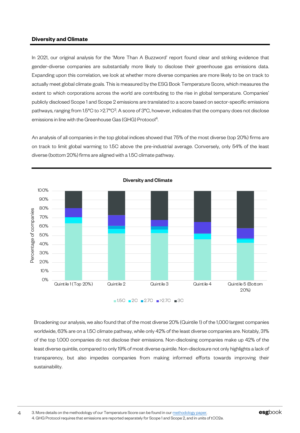#### **Diversity and Climate**

In 2021, our original analysis for the 'More Than A Buzzword' report found clear and striking evidence that gender-diverse companies are substantially more likely to disclose their greenhouse gas emissions data. Expanding upon this correlation, we look at whether more diverse companies are more likely to be on track to actually meet global climate goals. This is measured by the ESG Book Temperature Score, which measures the extent to which corporations across the world are contributing to the rise in global temperature. Companies' publicly disclosed Scope 1 and Scope 2 emissions are translated to a score based on sector-specific emissions pathways, ranging from 1.5°C to >2.7°C3. A score of 3°C, however, indicates that the company does not disclose emissions in line with the Greenhouse Gas (GHG) Protocol<sup>4</sup>.

An analysis of all companies in the top global indices showed that 75% of the most diverse (top 20%) firms are on track to limit global warming to 1.5C above the pre-industrial average. Conversely, only 54% of the least diverse (bottom 20%) firms are aligned with a 1.5C climate pathway.



Broadening our analysis, we also found that of the most diverse 20% (Quintile 1) of the 1,000 largest companies worldwide, 63% are on a 1.5C climate pathway, while only 42% of the least diverse companies are. Notably, 31% of the top 1,000 companies do not disclose their emissions. Non-disclosing companies make up 42% of the least diverse quintile, compared to only 19% of most diverse quintile. Non-disclosure not only highlights a lack of transparency, but also impedes companies from making informed efforts towards improving their sustainability.